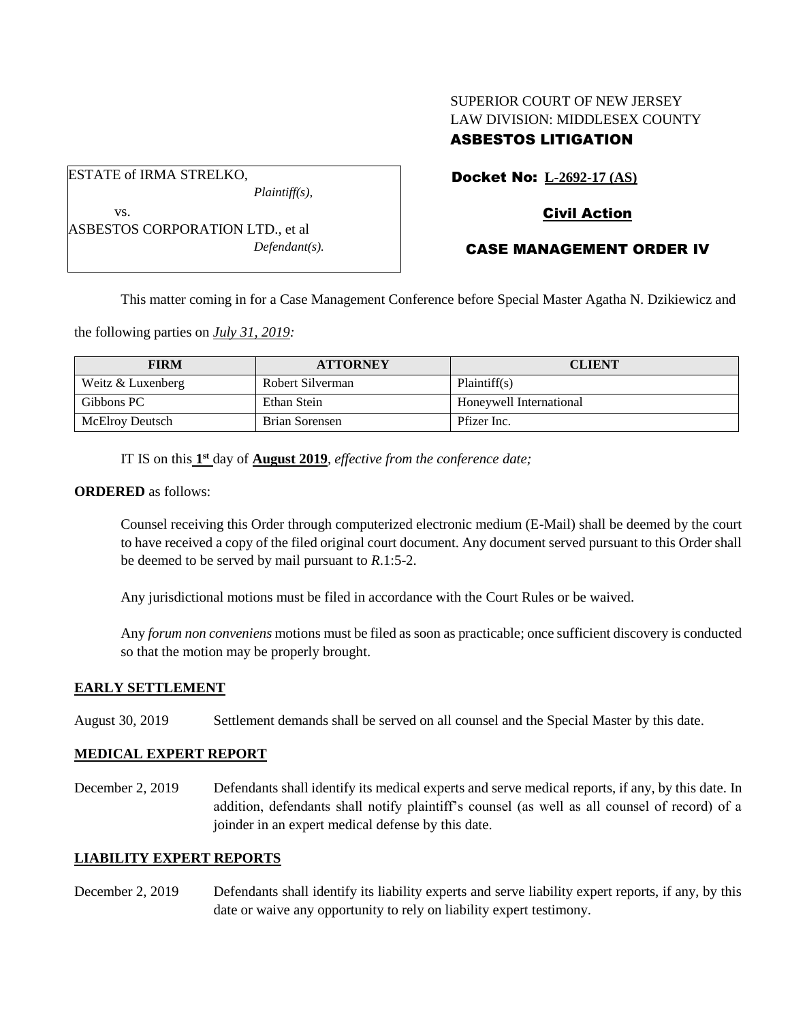# SUPERIOR COURT OF NEW JERSEY LAW DIVISION: MIDDLESEX COUNTY ASBESTOS LITIGATION

Docket No: **L-2692-17 (AS)**

## Civil Action

ASBESTOS CORPORATION LTD., et al *Defendant(s).*

*Plaintiff(s),*

ESTATE of IRMA STRELKO,

vs.

## CASE MANAGEMENT ORDER IV

This matter coming in for a Case Management Conference before Special Master Agatha N. Dzikiewicz and

the following parties on *July 31, 2019:*

| <b>FIRM</b>            | <b>ATTORNEY</b>  | <b>CLIENT</b>           |
|------------------------|------------------|-------------------------|
| Weitz & Luxenberg      | Robert Silverman | Plaintiff(s)            |
| Gibbons PC             | Ethan Stein      | Honeywell International |
| <b>McElroy Deutsch</b> | Brian Sorensen   | Pfizer Inc.             |

IT IS on this **1 st** day of **August 2019**, *effective from the conference date;*

#### **ORDERED** as follows:

Counsel receiving this Order through computerized electronic medium (E-Mail) shall be deemed by the court to have received a copy of the filed original court document. Any document served pursuant to this Order shall be deemed to be served by mail pursuant to *R*.1:5-2.

Any jurisdictional motions must be filed in accordance with the Court Rules or be waived.

Any *forum non conveniens* motions must be filed as soon as practicable; once sufficient discovery is conducted so that the motion may be properly brought.

### **EARLY SETTLEMENT**

August 30, 2019 Settlement demands shall be served on all counsel and the Special Master by this date.

### **MEDICAL EXPERT REPORT**

December 2, 2019 Defendants shall identify its medical experts and serve medical reports, if any, by this date. In addition, defendants shall notify plaintiff's counsel (as well as all counsel of record) of a joinder in an expert medical defense by this date.

### **LIABILITY EXPERT REPORTS**

December 2, 2019 Defendants shall identify its liability experts and serve liability expert reports, if any, by this date or waive any opportunity to rely on liability expert testimony.